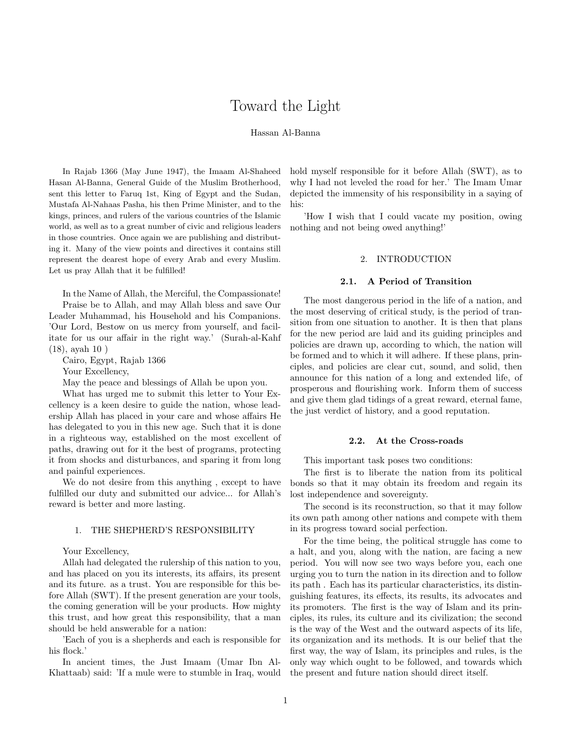# Toward the Light

#### Hassan Al-Banna

In Rajab 1366 (May June 1947), the Imaam Al-Shaheed Hasan Al-Banna, General Guide of the Muslim Brotherhood, sent this letter to Faruq 1st, King of Egypt and the Sudan, Mustafa Al-Nahaas Pasha, his then Prime Minister, and to the kings, princes, and rulers of the various countries of the Islamic world, as well as to a great number of civic and religious leaders in those countries. Once again we are publishing and distributing it. Many of the view points and directives it contains still represent the dearest hope of every Arab and every Muslim. Let us pray Allah that it be fulfilled!

In the Name of Allah, the Merciful, the Compassionate! Praise be to Allah, and may Allah bless and save Our Leader Muhammad, his Household and his Companions. 'Our Lord, Bestow on us mercy from yourself, and facilitate for us our affair in the right way.' (Surah-al-Kahf (18), ayah 10 )

Cairo, Egypt, Rajab 1366

Your Excellency,

May the peace and blessings of Allah be upon you.

What has urged me to submit this letter to Your Excellency is a keen desire to guide the nation, whose leadership Allah has placed in your care and whose affairs He has delegated to you in this new age. Such that it is done in a righteous way, established on the most excellent of paths, drawing out for it the best of programs, protecting it from shocks and disturbances, and sparing it from long and painful experiences.

We do not desire from this anything , except to have fulfilled our duty and submitted our advice... for Allah's reward is better and more lasting.

## 1. THE SHEPHERD'S RESPONSIBILITY

Your Excellency,

Allah had delegated the rulership of this nation to you, and has placed on you its interests, its affairs, its present and its future. as a trust. You are responsible for this before Allah (SWT). If the present generation are your tools, the coming generation will be your products. How mighty this trust, and how great this responsibility, that a man should be held answerable for a nation:

'Each of you is a shepherds and each is responsible for his flock.'

In ancient times, the Just Imaam (Umar Ibn Al-Khattaab) said: 'If a mule were to stumble in Iraq, would hold myself responsible for it before Allah (SWT), as to why I had not leveled the road for her.' The Imam Umar depicted the immensity of his responsibility in a saying of his:

'How I wish that I could vacate my position, owing nothing and not being owed anything!'

# 2. INTRODUCTION

#### 2.1. A Period of Transition

The most dangerous period in the life of a nation, and the most deserving of critical study, is the period of transition from one situation to another. It is then that plans for the new period are laid and its guiding principles and policies are drawn up, according to which, the nation will be formed and to which it will adhere. If these plans, principles, and policies are clear cut, sound, and solid, then announce for this nation of a long and extended life, of prosperous and flourishing work. Inform them of success and give them glad tidings of a great reward, eternal fame, the just verdict of history, and a good reputation.

# 2.2. At the Cross-roads

This important task poses two conditions:

The first is to liberate the nation from its political bonds so that it may obtain its freedom and regain its lost independence and sovereignty.

The second is its reconstruction, so that it may follow its own path among other nations and compete with them in its progress toward social perfection.

For the time being, the political struggle has come to a halt, and you, along with the nation, are facing a new period. You will now see two ways before you, each one urging you to turn the nation in its direction and to follow its path . Each has its particular characteristics, its distinguishing features, its effects, its results, its advocates and its promoters. The first is the way of Islam and its principles, its rules, its culture and its civilization; the second is the way of the West and the outward aspects of its life, its organization and its methods. It is our belief that the first way, the way of Islam, its principles and rules, is the only way which ought to be followed, and towards which the present and future nation should direct itself.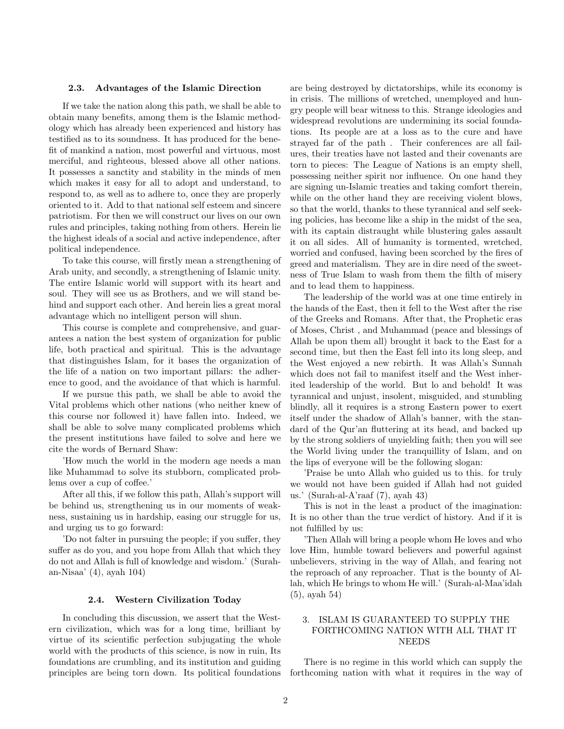## 2.3. Advantages of the Islamic Direction

If we take the nation along this path, we shall be able to obtain many benefits, among them is the Islamic methodology which has already been experienced and history has testified as to its soundness. It has produced for the benefit of mankind a nation, most powerful and virtuous, most merciful, and righteous, blessed above all other nations. It possesses a sanctity and stability in the minds of men which makes it easy for all to adopt and understand, to respond to, as well as to adhere to, once they are properly oriented to it. Add to that national self esteem and sincere patriotism. For then we will construct our lives on our own rules and principles, taking nothing from others. Herein lie the highest ideals of a social and active independence, after political independence.

To take this course, will firstly mean a strengthening of Arab unity, and secondly, a strengthening of Islamic unity. The entire Islamic world will support with its heart and soul. They will see us as Brothers, and we will stand behind and support each other. And herein lies a great moral advantage which no intelligent person will shun.

This course is complete and comprehensive, and guarantees a nation the best system of organization for public life, both practical and spiritual. This is the advantage that distinguishes Islam, for it bases the organization of the life of a nation on two important pillars: the adherence to good, and the avoidance of that which is harmful.

If we pursue this path, we shall be able to avoid the Vital problems which other nations (who neither knew of this course nor followed it) have fallen into. Indeed, we shall be able to solve many complicated problems which the present institutions have failed to solve and here we cite the words of Bernard Shaw:

'How much the world in the modern age needs a man like Muhammad to solve its stubborn, complicated problems over a cup of coffee.'

After all this, if we follow this path, Allah's support will be behind us, strengthening us in our moments of weakness, sustaining us in hardship, easing our struggle for us, and urging us to go forward:

'Do not falter in pursuing the people; if you suffer, they suffer as do you, and you hope from Allah that which they do not and Allah is full of knowledge and wisdom.' (Surahan-Nisaa' (4), ayah 104)

#### 2.4. Western Civilization Today

In concluding this discussion, we assert that the Western civilization, which was for a long time, brilliant by virtue of its scientific perfection subjugating the whole world with the products of this science, is now in ruin, Its foundations are crumbling, and its institution and guiding principles are being torn down. Its political foundations are being destroyed by dictatorships, while its economy is in crisis. The millions of wretched, unemployed and hungry people will bear witness to this. Strange ideologies and widespread revolutions are undermining its social foundations. Its people are at a loss as to the cure and have strayed far of the path . Their conferences are all failures, their treaties have not lasted and their covenants are torn to pieces: The League of Nations is an empty shell, possessing neither spirit nor influence. On one hand they are signing un-Islamic treaties and taking comfort therein, while on the other hand they are receiving violent blows, so that the world, thanks to these tyrannical and self seeking policies, has become like a ship in the midst of the sea, with its captain distraught while blustering gales assault it on all sides. All of humanity is tormented, wretched, worried and confused, having been scorched by the fires of greed and materialism. They are in dire need of the sweetness of True Islam to wash from them the filth of misery and to lead them to happiness.

The leadership of the world was at one time entirely in the hands of the East, then it fell to the West after the rise of the Greeks and Romans. After that, the Prophetic eras of Moses, Christ , and Muhammad (peace and blessings of Allah be upon them all) brought it back to the East for a second time, but then the East fell into its long sleep, and the West enjoyed a new rebirth. It was Allah's Sunnah which does not fail to manifest itself and the West inherited leadership of the world. But lo and behold! It was tyrannical and unjust, insolent, misguided, and stumbling blindly, all it requires is a strong Eastern power to exert itself under the shadow of Allah's banner, with the standard of the Qur'an fluttering at its head, and backed up by the strong soldiers of unyielding faith; then you will see the World living under the tranquillity of Islam, and on the lips of everyone will be the following slogan:

'Praise be unto Allah who guided us to this. for truly we would not have been guided if Allah had not guided us.' (Surah-al-A'raaf (7), ayah 43)

This is not in the least a product of the imagination: It is no other than the true verdict of history. And if it is not fulfilled by us:

'Then Allah will bring a people whom He loves and who love Him, humble toward believers and powerful against unbelievers, striving in the way of Allah, and fearing not the reproach of any reproacher. That is the bounty of Allah, which He brings to whom He will.' (Surah-al-Maa'idah (5), ayah 54)

# 3. ISLAM IS GUARANTEED TO SUPPLY THE FORTHCOMING NATION WITH ALL THAT IT NEEDS

There is no regime in this world which can supply the forthcoming nation with what it requires in the way of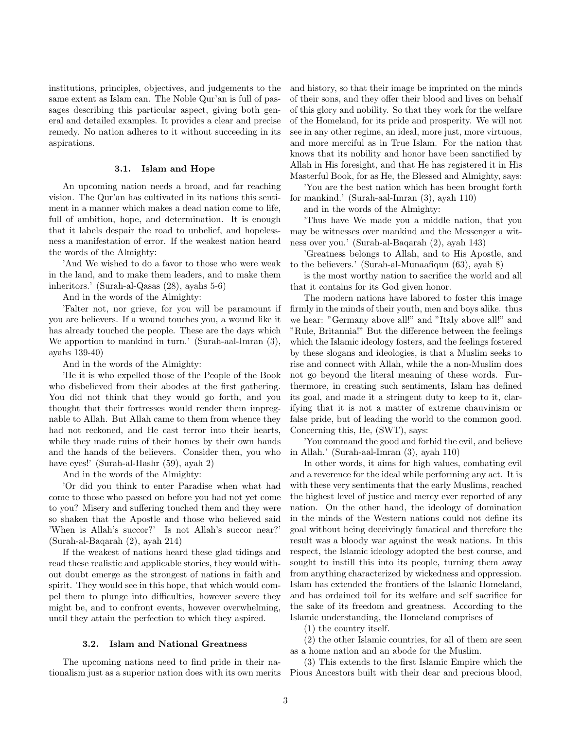institutions, principles, objectives, and judgements to the same extent as Islam can. The Noble Qur'an is full of passages describing this particular aspect, giving both general and detailed examples. It provides a clear and precise remedy. No nation adheres to it without succeeding in its aspirations.

#### 3.1. Islam and Hope

An upcoming nation needs a broad, and far reaching vision. The Qur'an has cultivated in its nations this sentiment in a manner which makes a dead nation come to life, full of ambition, hope, and determination. It is enough that it labels despair the road to unbelief, and hopelessness a manifestation of error. If the weakest nation heard the words of the Almighty:

'And We wished to do a favor to those who were weak in the land, and to make them leaders, and to make them inheritors.' (Surah-al-Qasas (28), ayahs 5-6)

And in the words of the Almighty:

'Falter not, nor grieve, for you will be paramount if you are believers. If a wound touches you, a wound like it has already touched the people. These are the days which We apportion to mankind in turn.' (Surah-aal-Imran (3), ayahs 139-40)

And in the words of the Almighty:

'He it is who expelled those of the People of the Book who disbelieved from their abodes at the first gathering. You did not think that they would go forth, and you thought that their fortresses would render them impregnable to Allah. But Allah came to them from whence they had not reckoned, and He cast terror into their hearts, while they made ruins of their homes by their own hands and the hands of the believers. Consider then, you who have eyes!' (Surah-al-Hashr (59), ayah 2)

And in the words of the Almighty:

'Or did you think to enter Paradise when what had come to those who passed on before you had not yet come to you? Misery and suffering touched them and they were so shaken that the Apostle and those who believed said 'When is Allah's succor?' Is not Allah's succor near?' (Surah-al-Baqarah (2), ayah 214)

If the weakest of nations heard these glad tidings and read these realistic and applicable stories, they would without doubt emerge as the strongest of nations in faith and spirit. They would see in this hope, that which would compel them to plunge into difficulties, however severe they might be, and to confront events, however overwhelming, until they attain the perfection to which they aspired.

#### 3.2. Islam and National Greatness

The upcoming nations need to find pride in their nationalism just as a superior nation does with its own merits and history, so that their image be imprinted on the minds of their sons, and they offer their blood and lives on behalf of this glory and nobility. So that they work for the welfare of the Homeland, for its pride and prosperity. We will not see in any other regime, an ideal, more just, more virtuous, and more merciful as in True Islam. For the nation that knows that its nobility and honor have been sanctified by Allah in His foresight, and that He has registered it in His Masterful Book, for as He, the Blessed and Almighty, says:

'You are the best nation which has been brought forth for mankind.' (Surah-aal-Imran (3), ayah 110)

and in the words of the Almighty:

'Thus have We made you a middle nation, that you may be witnesses over mankind and the Messenger a witness over you.' (Surah-al-Baqarah (2), ayah 143)

'Greatness belongs to Allah, and to His Apostle, and to the believers.' (Surah-al-Munaafiqun (63), ayah 8)

is the most worthy nation to sacrifice the world and all that it contains for its God given honor.

The modern nations have labored to foster this image firmly in the minds of their youth, men and boys alike. thus we hear: "Germany above all!" and "Italy above all!" and "Rule, Britannia!" But the difference between the feelings which the Islamic ideology fosters, and the feelings fostered by these slogans and ideologies, is that a Muslim seeks to rise and connect with Allah, while the a non-Muslim does not go beyond the literal meaning of these words. Furthermore, in creating such sentiments, Islam has defined its goal, and made it a stringent duty to keep to it, clarifying that it is not a matter of extreme chauvinism or false pride, but of leading the world to the common good. Concerning this, He, (SWT), says:

'You command the good and forbid the evil, and believe in Allah.' (Surah-aal-Imran (3), ayah 110)

In other words, it aims for high values, combating evil and a reverence for the ideal while performing any act. It is with these very sentiments that the early Muslims, reached the highest level of justice and mercy ever reported of any nation. On the other hand, the ideology of domination in the minds of the Western nations could not define its goal without being deceivingly fanatical and therefore the result was a bloody war against the weak nations. In this respect, the Islamic ideology adopted the best course, and sought to instill this into its people, turning them away from anything characterized by wickedness and oppression. Islam has extended the frontiers of the Islamic Homeland, and has ordained toil for its welfare and self sacrifice for the sake of its freedom and greatness. According to the Islamic understanding, the Homeland comprises of

(1) the country itself.

(2) the other Islamic countries, for all of them are seen as a home nation and an abode for the Muslim.

(3) This extends to the first Islamic Empire which the Pious Ancestors built with their dear and precious blood,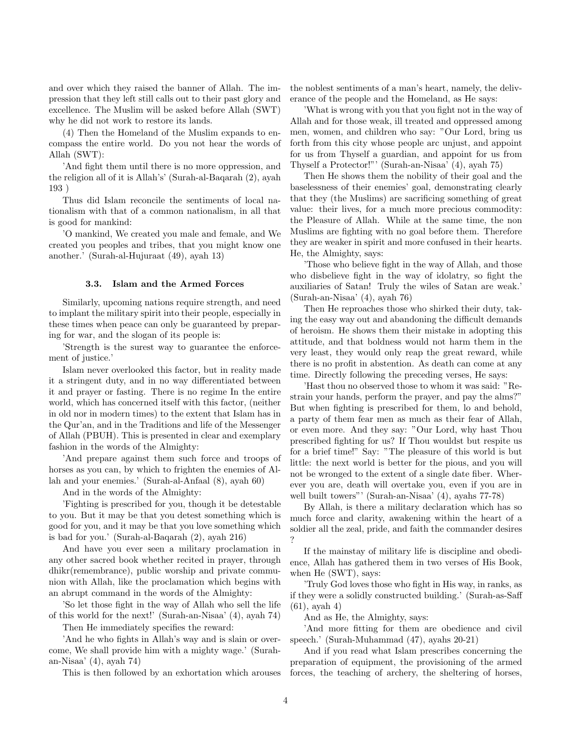and over which they raised the banner of Allah. The impression that they left still calls out to their past glory and excellence. The Muslim will be asked before Allah (SWT) why he did not work to restore its lands.

(4) Then the Homeland of the Muslim expands to encompass the entire world. Do you not hear the words of Allah (SWT):

'And fight them until there is no more oppression, and the religion all of it is Allah's' (Surah-al-Baqarah (2), ayah 193 )

Thus did Islam reconcile the sentiments of local nationalism with that of a common nationalism, in all that is good for mankind:

'O mankind, We created you male and female, and We created you peoples and tribes, that you might know one another.' (Surah-al-Hujuraat (49), ayah 13)

## 3.3. Islam and the Armed Forces

Similarly, upcoming nations require strength, and need to implant the military spirit into their people, especially in these times when peace can only be guaranteed by preparing for war, and the slogan of its people is:

'Strength is the surest way to guarantee the enforcement of justice.'

Islam never overlooked this factor, but in reality made it a stringent duty, and in no way differentiated between it and prayer or fasting. There is no regime In the entire world, which has concerned itself with this factor, (neither in old nor in modern times) to the extent that Islam has in the Qur'an, and in the Traditions and life of the Messenger of Allah (PBUH). This is presented in clear and exemplary fashion in the words of the Almighty:

'And prepare against them such force and troops of horses as you can, by which to frighten the enemies of Allah and your enemies.' (Surah-al-Anfaal (8), ayah 60)

And in the words of the Almighty:

'Fighting is prescribed for you, though it be detestable to you. But it may be that you detest something which is good for you, and it may be that you love something which is bad for you.' (Surah-al-Baqarah (2), ayah 216)

And have you ever seen a military proclamation in any other sacred book whether recited in prayer, through dhikr(remembrance), public worship and private communion with Allah, like the proclamation which begins with an abrupt command in the words of the Almighty:

'So let those fight in the way of Allah who sell the life of this world for the next!' (Surah-an-Nisaa' (4), ayah 74)

Then He immediately specifies the reward:

'And he who fights in Allah's way and is slain or overcome, We shall provide him with a mighty wage.' (Surahan-Nisaa' (4), ayah 74)

This is then followed by an exhortation which arouses

the noblest sentiments of a man's heart, namely, the deliverance of the people and the Homeland, as He says:

'What is wrong with you that you fight not in the way of Allah and for those weak, ill treated and oppressed among men, women, and children who say: "Our Lord, bring us forth from this city whose people arc unjust, and appoint for us from Thyself a guardian, and appoint for us from Thyself a Protector!"' (Surah-an-Nisaa' (4), ayah 75)

Then He shows them the nobility of their goal and the baselessness of their enemies' goal, demonstrating clearly that they (the Muslims) are sacrificing something of great value: their lives, for a much more precious commodity: the Pleasure of Allah. While at the same time, the non Muslims are fighting with no goal before them. Therefore they are weaker in spirit and more confused in their hearts. He, the Almighty, says:

'Those who believe fight in the way of Allah, and those who disbelieve fight in the way of idolatry, so fight the auxiliaries of Satan! Truly the wiles of Satan are weak.' (Surah-an-Nisaa' (4), ayah 76)

Then He reproaches those who shirked their duty, taking the easy way out and abandoning the difficult demands of heroism. He shows them their mistake in adopting this attitude, and that boldness would not harm them in the very least, they would only reap the great reward, while there is no profit in abstention. As death can come at any time. Directly following the preceding verses, He says:

'Hast thou no observed those to whom it was said: "Restrain your hands, perform the prayer, and pay the alms?" But when fighting is prescribed for them, lo and behold, a party of them fear men as much as their fear of Allah, or even more. And they say: "Our Lord, why hast Thou prescribed fighting for us? If Thou wouldst but respite us for a brief time!" Say: "The pleasure of this world is but little: the next world is better for the pious, and you will not be wronged to the extent of a single date fiber. Wherever you are, death will overtake you, even if you are in well built towers"' (Surah-an-Nisaa' (4), ayahs 77-78)

By Allah, is there a military declaration which has so much force and clarity, awakening within the heart of a soldier all the zeal, pride, and faith the commander desires ?

If the mainstay of military life is discipline and obedience, Allah has gathered them in two verses of His Book, when He (SWT), says:

'Truly God loves those who fight in His way, in ranks, as if they were a solidly constructed building.' (Surah-as-Saff (61), ayah 4)

And as He, the Almighty, says:

'And more fitting for them are obedience and civil speech.' (Surah-Muhammad (47), ayahs 20-21)

And if you read what Islam prescribes concerning the preparation of equipment, the provisioning of the armed forces, the teaching of archery, the sheltering of horses,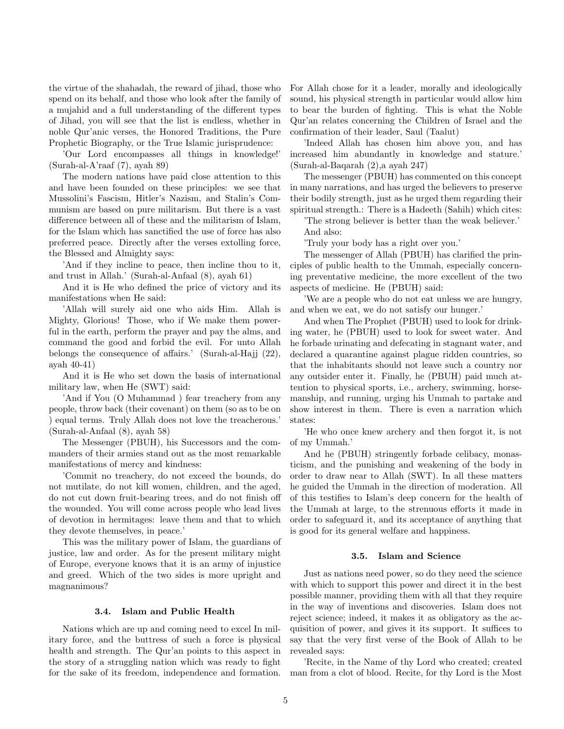the virtue of the shahadah, the reward of jihad, those who spend on its behalf, and those who look after the family of a mujahid and a full understanding of the different types of Jihad, you will see that the list is endless, whether in noble Qur'anic verses, the Honored Traditions, the Pure Prophetic Biography, or the True Islamic jurisprudence:

'Our Lord encompasses all things in knowledge!' (Surah-al-A'raaf (7), ayah 89)

The modern nations have paid close attention to this and have been founded on these principles: we see that Mussolini's Fascism, Hitler's Nazism, and Stalin's Communism are based on pure militarism. But there is a vast difference between all of these and the militarism of Islam, for the Islam which has sanctified the use of force has also preferred peace. Directly after the verses extolling force, the Blessed and Almighty says:

'And if they incline to peace, then incline thou to it, and trust in Allah.' (Surah-al-Anfaal (8), ayah 61)

And it is He who defined the price of victory and its manifestations when He said:

'Allah will surely aid one who aids Him. Allah is Mighty, Glorious! Those, who if We make them powerful in the earth, perform the prayer and pay the alms, and command the good and forbid the evil. For unto Allah belongs the consequence of affairs.' (Surah-al-Hajj (22), ayah 40-41)

And it is He who set down the basis of international military law, when He (SWT) said:

'And if You (O Muhammad ) fear treachery from any people, throw back (their covenant) on them (so as to be on ) equal terms. Truly Allah does not love the treacherous.' (Surah-al-Anfaal (8), ayah 58)

The Messenger (PBUH), his Successors and the commanders of their armies stand out as the most remarkable manifestations of mercy and kindness:

'Commit no treachery, do not exceed the bounds, do not mutilate, do not kill women, children, and the aged, do not cut down fruit-bearing trees, and do not finish off the wounded. You will come across people who lead lives of devotion in hermitages: leave them and that to which they devote themselves, in peace.'

This was the military power of Islam, the guardians of justice, law and order. As for the present military might of Europe, everyone knows that it is an army of injustice and greed. Which of the two sides is more upright and magnanimous?

## 3.4. Islam and Public Health

Nations which are up and coming need to excel In military force, and the buttress of such a force is physical health and strength. The Qur'an points to this aspect in the story of a struggling nation which was ready to fight for the sake of its freedom, independence and formation. For Allah chose for it a leader, morally and ideologically sound, his physical strength in particular would allow him to bear the burden of fighting. This is what the Noble Qur'an relates concerning the Children of Israel and the confirmation of their leader, Saul (Taalut)

'Indeed Allah has chosen him above you, and has increased him abundantly in knowledge and stature.' (Surah-al-Baqarah (2),a ayah 247)

The messenger (PBUH) has commented on this concept in many narrations, and has urged the believers to preserve their bodily strength, just as he urged them regarding their spiritual strength.: There is a Hadeeth (Sahih) which cites:

'The strong believer is better than the weak believer.' And also:

'Truly your body has a right over you.'

The messenger of Allah (PBUH) has clarified the principles of public health to the Ummah, especially concerning preventative medicine, the more excellent of the two aspects of medicine. He (PBUH) said:

'We are a people who do not eat unless we are hungry, and when we eat, we do not satisfy our hunger.'

And when The Prophet (PBUH) used to look for drinking water, he (PBUH) used to look for sweet water. And he forbade urinating and defecating in stagnant water, and declared a quarantine against plague ridden countries, so that the inhabitants should not leave such a country nor any outsider enter it. Finally, he (PBUH) paid much attention to physical sports, i.e., archery, swimming, horsemanship, and running, urging his Ummah to partake and show interest in them. There is even a narration which states:

'He who once knew archery and then forgot it, is not of my Ummah.'

And he (PBUH) stringently forbade celibacy, monasticism, and the punishing and weakening of the body in order to draw near to Allah (SWT). In all these matters he guided the Ummah in the direction of moderation. All of this testifies to Islam's deep concern for the health of the Ummah at large, to the strenuous efforts it made in order to safeguard it, and its acceptance of anything that is good for its general welfare and happiness.

#### 3.5. Islam and Science

Just as nations need power, so do they need the science with which to support this power and direct it in the best possible manner, providing them with all that they require in the way of inventions and discoveries. Islam does not reject science; indeed, it makes it as obligatory as the acquisition of power, and gives it its support. It suffices to say that the very first verse of the Book of Allah to be revealed says:

'Recite, in the Name of thy Lord who created; created man from a clot of blood. Recite, for thy Lord is the Most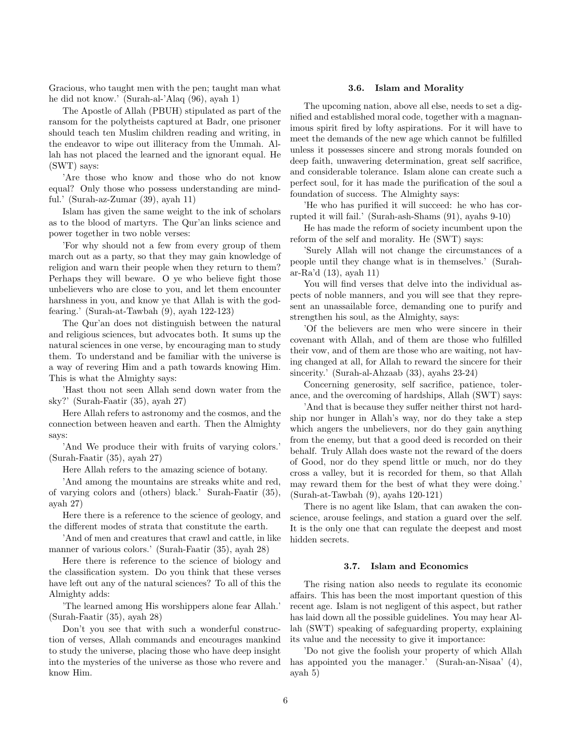Gracious, who taught men with the pen; taught man what he did not know.' (Surah-al-'Alaq (96), ayah 1)

The Apostle of Allah (PBUH) stipulated as part of the ransom for the polytheists captured at Badr, one prisoner should teach ten Muslim children reading and writing, in the endeavor to wipe out illiteracy from the Ummah. Allah has not placed the learned and the ignorant equal. He (SWT) says:

'Are those who know and those who do not know equal? Only those who possess understanding are mindful.' (Surah-az-Zumar (39), ayah 11)

Islam has given the same weight to the ink of scholars as to the blood of martyrs. The Qur'an links science and power together in two noble verses:

'For why should not a few from every group of them march out as a party, so that they may gain knowledge of religion and warn their people when they return to them? Perhaps they will beware. O ye who believe fight those unbelievers who are close to you, and let them encounter harshness in you, and know ye that Allah is with the godfearing.' (Surah-at-Tawbah (9), ayah 122-123)

The Qur'an does not distinguish between the natural and religious sciences, but advocates both. It sums up the natural sciences in one verse, by encouraging man to study them. To understand and be familiar with the universe is a way of revering Him and a path towards knowing Him. This is what the Almighty says:

'Hast thou not seen Allah send down water from the sky?' (Surah-Faatir (35), ayah 27)

Here Allah refers to astronomy and the cosmos, and the connection between heaven and earth. Then the Almighty says:

'And We produce their with fruits of varying colors.' (Surah-Faatir (35), ayah 27)

Here Allah refers to the amazing science of botany.

'And among the mountains are streaks white and red, of varying colors and (others) black.' Surah-Faatir (35), ayah 27)

Here there is a reference to the science of geology, and the different modes of strata that constitute the earth.

'And of men and creatures that crawl and cattle, in like manner of various colors.' (Surah-Faatir (35), ayah 28)

Here there is reference to the science of biology and the classification system. Do you think that these verses have left out any of the natural sciences? To all of this the Almighty adds:

'The learned among His worshippers alone fear Allah.' (Surah-Faatir (35), ayah 28)

Don't you see that with such a wonderful construction of verses, Allah commands and encourages mankind to study the universe, placing those who have deep insight into the mysteries of the universe as those who revere and know Him.

#### 3.6. Islam and Morality

The upcoming nation, above all else, needs to set a dignified and established moral code, together with a magnanimous spirit fired by lofty aspirations. For it will have to meet the demands of the new age which cannot be fulfilled unless it possesses sincere and strong morals founded on deep faith, unwavering determination, great self sacrifice, and considerable tolerance. Islam alone can create such a perfect soul, for it has made the purification of the soul a foundation of success. The Almighty says:

'He who has purified it will succeed: he who has corrupted it will fail.' (Surah-ash-Shams (91), ayahs 9-10)

He has made the reform of society incumbent upon the reform of the self and morality. He (SWT) says:

'Surely Allah will not change the circumstances of a people until they change what is in themselves.' (Surahar-Ra'd (13), ayah 11)

You will find verses that delve into the individual aspects of noble manners, and you will see that they represent an unassailable force, demanding one to purify and strengthen his soul, as the Almighty, says:

'Of the believers are men who were sincere in their covenant with Allah, and of them are those who fulfilled their vow, and of them are those who are waiting, not having changed at all, for Allah to reward the sincere for their sincerity.' (Surah-al-Ahzaab (33), ayahs 23-24)

Concerning generosity, self sacrifice, patience, tolerance, and the overcoming of hardships, Allah (SWT) says:

'And that is because they suffer neither thirst not hardship nor hunger in Allah's way, nor do they take a step which angers the unbelievers, nor do they gain anything from the enemy, but that a good deed is recorded on their behalf. Truly Allah does waste not the reward of the doers of Good, nor do they spend little or much, nor do they cross a valley, but it is recorded for them, so that Allah may reward them for the best of what they were doing.' (Surah-at-Tawbah (9), ayahs 120-121)

There is no agent like Islam, that can awaken the conscience, arouse feelings, and station a guard over the self. It is the only one that can regulate the deepest and most hidden secrets.

#### 3.7. Islam and Economics

The rising nation also needs to regulate its economic affairs. This has been the most important question of this recent age. Islam is not negligent of this aspect, but rather has laid down all the possible guidelines. You may hear Allah (SWT) speaking of safeguarding property, explaining its value and the necessity to give it importance:

'Do not give the foolish your property of which Allah has appointed you the manager.' (Surah-an-Nisaa'  $(4)$ , ayah 5)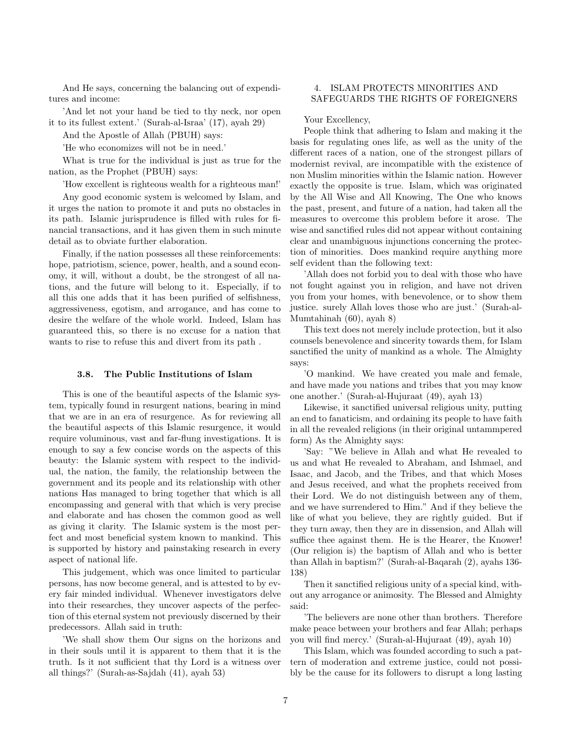And He says, concerning the balancing out of expenditures and income:

'And let not your hand be tied to thy neck, nor open it to its fullest extent.' (Surah-al-Israa' (17), ayah 29)

And the Apostle of Allah (PBUH) says:

'He who economizes will not be in need.'

What is true for the individual is just as true for the nation, as the Prophet (PBUH) says:

'How excellent is righteous wealth for a righteous man!'

Any good economic system is welcomed by Islam, and it urges the nation to promote it and puts no obstacles in its path. Islamic jurisprudence is filled with rules for financial transactions, and it has given them in such minute detail as to obviate further elaboration.

Finally, if the nation possesses all these reinforcements: hope, patriotism, science, power, health, and a sound economy, it will, without a doubt, be the strongest of all nations, and the future will belong to it. Especially, if to all this one adds that it has been purified of selfishness, aggressiveness, egotism, and arrogance, and has come to desire the welfare of the whole world. Indeed, Islam has guaranteed this, so there is no excuse for a nation that wants to rise to refuse this and divert from its path .

## 3.8. The Public Institutions of Islam

This is one of the beautiful aspects of the Islamic system, typically found in resurgent nations, bearing in mind that we are in an era of resurgence. As for reviewing all the beautiful aspects of this Islamic resurgence, it would require voluminous, vast and far-flung investigations. It is enough to say a few concise words on the aspects of this beauty: the Islamic system with respect to the individual, the nation, the family, the relationship between the government and its people and its relationship with other nations Has managed to bring together that which is all encompassing and general with that which is very precise and elaborate and has chosen the common good as well as giving it clarity. The Islamic system is the most perfect and most beneficial system known to mankind. This is supported by history and painstaking research in every aspect of national life.

This judgement, which was once limited to particular persons, has now become general, and is attested to by every fair minded individual. Whenever investigators delve into their researches, they uncover aspects of the perfection of this eternal system not previously discerned by their predecessors. Allah said in truth:

'We shall show them Our signs on the horizons and in their souls until it is apparent to them that it is the truth. Is it not sufficient that thy Lord is a witness over all things?' (Surah-as-Sajdah (41), ayah 53)

# 4. ISLAM PROTECTS MINORITIES AND SAFEGUARDS THE RIGHTS OF FOREIGNERS

#### Your Excellency,

People think that adhering to Islam and making it the basis for regulating ones life, as well as the unity of the different races of a nation, one of the strongest pillars of modernist revival, are incompatible with the existence of non Muslim minorities within the Islamic nation. However exactly the opposite is true. Islam, which was originated by the All Wise and All Knowing, The One who knows the past, present, and future of a nation, had taken all the measures to overcome this problem before it arose. The wise and sanctified rules did not appear without containing clear and unambiguous injunctions concerning the protection of minorities. Does mankind require anything more self evident than the following text:

'Allah does not forbid you to deal with those who have not fought against you in religion, and have not driven you from your homes, with benevolence, or to show them justice. surely Allah loves those who are just.' (Surah-al-Mumtahinah (60), ayah 8)

This text does not merely include protection, but it also counsels benevolence and sincerity towards them, for Islam sanctified the unity of mankind as a whole. The Almighty says:

'O mankind. We have created you male and female, and have made you nations and tribes that you may know one another.' (Surah-al-Hujuraat (49), ayah 13)

Likewise, it sanctified universal religious unity, putting an end to fanaticism, and ordaining its people to have faith in all the revealed religions (in their original untammpered form) As the Almighty says:

'Say: "We believe in Allah and what He revealed to us and what He revealed to Abraham, and Ishmael, and Isaac, and Jacob, and the Tribes, and that which Moses and Jesus received, and what the prophets received from their Lord. We do not distinguish between any of them, and we have surrendered to Him." And if they believe the like of what you believe, they are rightly guided. But if they turn away, then they are in dissension, and Allah will suffice thee against them. He is the Hearer, the Knower! (Our religion is) the baptism of Allah and who is better than Allah in baptism?' (Surah-al-Baqarah (2), ayahs 136- 138)

Then it sanctified religious unity of a special kind, without any arrogance or animosity. The Blessed and Almighty said:

'The believers are none other than brothers. Therefore make peace between your brothers and fear Allah; perhaps you will find mercy.' (Surah-al-Hujuraat (49), ayah 10)

This Islam, which was founded according to such a pattern of moderation and extreme justice, could not possibly be the cause for its followers to disrupt a long lasting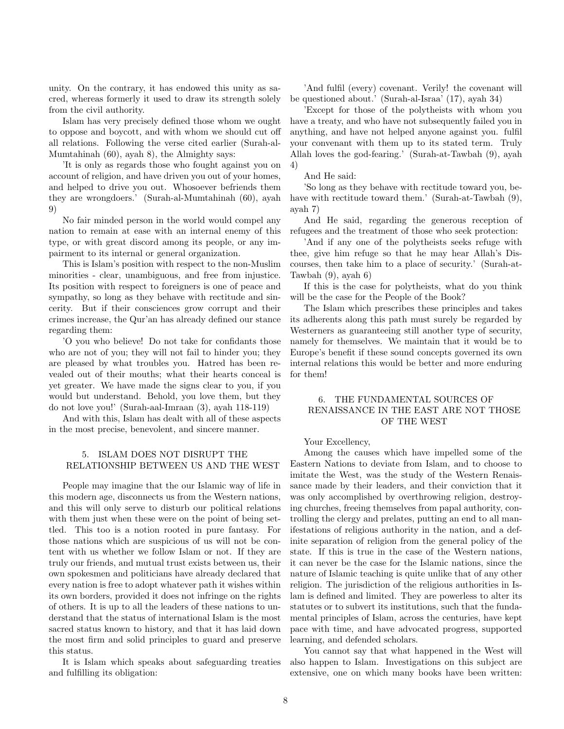unity. On the contrary, it has endowed this unity as sacred, whereas formerly it used to draw its strength solely from the civil authority.

Islam has very precisely defined those whom we ought to oppose and boycott, and with whom we should cut off all relations. Following the verse cited earlier (Surah-al-Mumtahinah (60), ayah 8), the Almighty says:

'It is only as regards those who fought against you on account of religion, and have driven you out of your homes, and helped to drive you out. Whosoever befriends them they are wrongdoers.' (Surah-al-Mumtahinah (60), ayah 9)

No fair minded person in the world would compel any nation to remain at ease with an internal enemy of this type, or with great discord among its people, or any impairment to its internal or general organization.

This is Islam's position with respect to the non-Muslim minorities - clear, unambiguous, and free from injustice. Its position with respect to foreigners is one of peace and sympathy, so long as they behave with rectitude and sincerity. But if their consciences grow corrupt and their crimes increase, the Qur'an has already defined our stance regarding them:

'O you who believe! Do not take for confidants those who are not of you; they will not fail to hinder you; they are pleased by what troubles you. Hatred has been revealed out of their mouths; what their hearts conceal is yet greater. We have made the signs clear to you, if you would but understand. Behold, you love them, but they do not love you!' (Surah-aal-Imraan (3), ayah 118-119)

And with this, Islam has dealt with all of these aspects in the most precise, benevolent, and sincere manner.

# 5. ISLAM DOES NOT DISRUPT THE RELATIONSHIP BETWEEN US AND THE WEST

People may imagine that the our Islamic way of life in this modern age, disconnects us from the Western nations, and this will only serve to disturb our political relations with them just when these were on the point of being settled. This too is a notion rooted in pure fantasy. For those nations which are suspicious of us will not be content with us whether we follow Islam or not. If they are truly our friends, and mutual trust exists between us, their own spokesmen and politicians have already declared that every nation is free to adopt whatever path it wishes within its own borders, provided it does not infringe on the rights of others. It is up to all the leaders of these nations to understand that the status of international Islam is the most sacred status known to history, and that it has laid down the most firm and solid principles to guard and preserve this status.

It is Islam which speaks about safeguarding treaties and fulfilling its obligation:

'And fulfil (every) covenant. Verily! the covenant will be questioned about.' (Surah-al-Israa' (17), ayah 34)

'Except for those of the polytheists with whom you have a treaty, and who have not subsequently failed you in anything, and have not helped anyone against you. fulfil your convenant with them up to its stated term. Truly Allah loves the god-fearing.' (Surah-at-Tawbah (9), ayah 4)

And He said:

'So long as they behave with rectitude toward you, behave with rectitude toward them.' (Surah-at-Tawbah  $(9)$ , ayah 7)

And He said, regarding the generous reception of refugees and the treatment of those who seek protection:

'And if any one of the polytheists seeks refuge with thee, give him refuge so that he may hear Allah's Discourses, then take him to a place of security.' (Surah-at-Tawbah (9), ayah 6)

If this is the case for polytheists, what do you think will be the case for the People of the Book?

The Islam which prescribes these principles and takes its adherents along this path must surely be regarded by Westerners as guaranteeing still another type of security, namely for themselves. We maintain that it would be to Europe's benefit if these sound concepts governed its own internal relations this would be better and more enduring for them!

# 6. THE FUNDAMENTAL SOURCES OF RENAISSANCE IN THE EAST ARE NOT THOSE OF THE WEST

## Your Excellency,

Among the causes which have impelled some of the Eastern Nations to deviate from Islam, and to choose to imitate the West, was the study of the Western Renaissance made by their leaders, and their conviction that it was only accomplished by overthrowing religion, destroying churches, freeing themselves from papal authority, controlling the clergy and prelates, putting an end to all manifestations of religious authority in the nation, and a definite separation of religion from the general policy of the state. If this is true in the case of the Western nations, it can never be the case for the Islamic nations, since the nature of Islamic teaching is quite unlike that of any other religion. The jurisdiction of the religious authorities in Islam is defined and limited. They are powerless to alter its statutes or to subvert its institutions, such that the fundamental principles of Islam, across the centuries, have kept pace with time, and have advocated progress, supported learning, and defended scholars.

You cannot say that what happened in the West will also happen to Islam. Investigations on this subject are extensive, one on which many books have been written: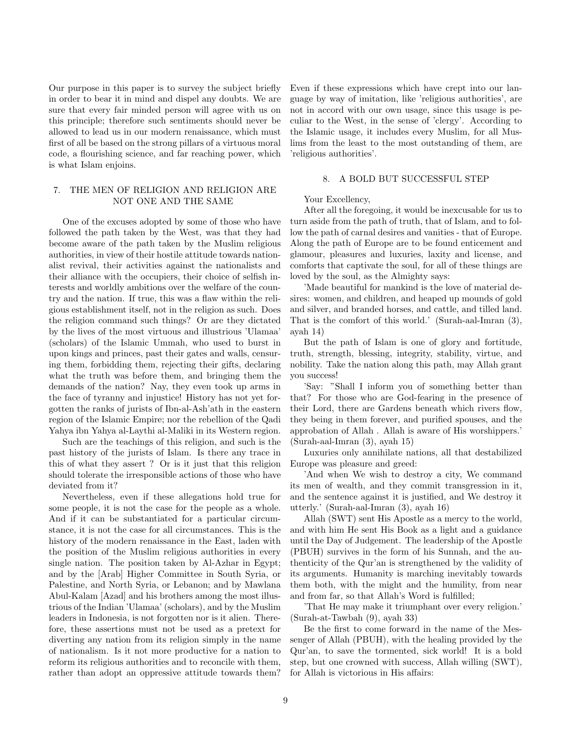Our purpose in this paper is to survey the subject briefly in order to bear it in mind and dispel any doubts. We are sure that every fair minded person will agree with us on this principle; therefore such sentiments should never be allowed to lead us in our modern renaissance, which must first of all be based on the strong pillars of a virtuous moral code, a flourishing science, and far reaching power, which is what Islam enjoins.

# 7. THE MEN OF RELIGION AND RELIGION ARE NOT ONE AND THE SAME

One of the excuses adopted by some of those who have followed the path taken by the West, was that they had become aware of the path taken by the Muslim religious authorities, in view of their hostile attitude towards nationalist revival, their activities against the nationalists and their alliance with the occupiers, their choice of selfish interests and worldly ambitions over the welfare of the country and the nation. If true, this was a flaw within the religious establishment itself, not in the religion as such. Does the religion command such things? Or are they dictated by the lives of the most virtuous and illustrious 'Ulamaa' (scholars) of the Islamic Ummah, who used to burst in upon kings and princes, past their gates and walls, censuring them, forbidding them, rejecting their gifts, declaring what the truth was before them, and bringing them the demands of the nation? Nay, they even took up arms in the face of tyranny and injustice! History has not yet forgotten the ranks of jurists of Ibn-al-Ash'ath in the eastern region of the Islamic Empire; nor the rebellion of the Qadi Yahya ibn Yahya al-Laythi al-Maliki in its Western region.

Such are the teachings of this religion, and such is the past history of the jurists of Islam. Is there any trace in this of what they assert ? Or is it just that this religion should tolerate the irresponsible actions of those who have deviated from it?

Nevertheless, even if these allegations hold true for some people, it is not the case for the people as a whole. And if it can be substantiated for a particular circumstance, it is not the case for all circumstances. This is the history of the modern renaissance in the East, laden with the position of the Muslim religious authorities in every single nation. The position taken by Al-Azhar in Egypt; and by the [Arab] Higher Committee in South Syria, or Palestine, and North Syria, or Lebanon; and by Mawlana Abul-Kalam [Azad] and his brothers among the most illustrious of the Indian 'Ulamaa' (scholars), and by the Muslim leaders in Indonesia, is not forgotten nor is it alien. Therefore, these assertions must not be used as a pretext for diverting any nation from its religion simply in the name of nationalism. Is it not more productive for a nation to reform its religious authorities and to reconcile with them, rather than adopt an oppressive attitude towards them? Even if these expressions which have crept into our language by way of imitation, like 'religious authorities', are not in accord with our own usage, since this usage is peculiar to the West, in the sense of 'clergy'. According to the Islamic usage, it includes every Muslim, for all Muslims from the least to the most outstanding of them, are 'religious authorities'.

#### 8. A BOLD BUT SUCCESSFUL STEP

#### Your Excellency,

After all the foregoing, it would be inexcusable for us to turn aside from the path of truth, that of Islam, and to follow the path of carnal desires and vanities - that of Europe. Along the path of Europe are to be found enticement and glamour, pleasures and luxuries, laxity and license, and comforts that captivate the soul, for all of these things are loved by the soul, as the Almighty says:

'Made beautiful for mankind is the love of material desires: women, and children, and heaped up mounds of gold and silver, and branded horses, and cattle, and tilled land. That is the comfort of this world.' (Surah-aal-Imran (3), ayah 14)

But the path of Islam is one of glory and fortitude, truth, strength, blessing, integrity, stability, virtue, and nobility. Take the nation along this path, may Allah grant you success!

'Say: "Shall I inform you of something better than that? For those who are God-fearing in the presence of their Lord, there are Gardens beneath which rivers flow, they being in them forever, and purified spouses, and the approbation of Allah . Allah is aware of His worshippers.' (Surah-aal-Imran (3), ayah 15)

Luxuries only annihilate nations, all that destabilized Europe was pleasure and greed:

'And when We wish to destroy a city, We command its men of wealth, and they commit transgression in it, and the sentence against it is justified, and We destroy it utterly.' (Surah-aal-Imran (3), ayah 16)

Allah (SWT) sent His Apostle as a mercy to the world, and with him He sent His Book as a light and a guidance until the Day of Judgement. The leadership of the Apostle (PBUH) survives in the form of his Sunnah, and the authenticity of the Qur'an is strengthened by the validity of its arguments. Humanity is marching inevitably towards them both, with the might and the humility, from near and from far, so that Allah's Word is fulfilled;

'That He may make it triumphant over every religion.' (Surah-at-Tawbah (9), ayah 33)

Be the first to come forward in the name of the Messenger of Allah (PBUH), with the healing provided by the Qur'an, to save the tormented, sick world! It is a bold step, but one crowned with success, Allah willing (SWT), for Allah is victorious in His affairs: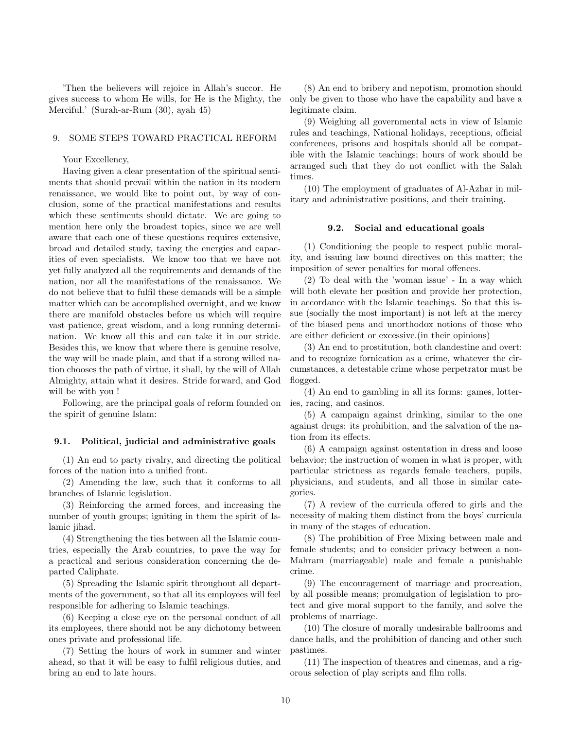'Then the believers will rejoice in Allah's succor. He gives success to whom He wills, for He is the Mighty, the Merciful.' (Surah-ar-Rum (30), ayah 45)

#### 9. SOME STEPS TOWARD PRACTICAL REFORM

Your Excellency,

Having given a clear presentation of the spiritual sentiments that should prevail within the nation in its modern renaissance, we would like to point out, by way of conclusion, some of the practical manifestations and results which these sentiments should dictate. We are going to mention here only the broadest topics, since we are well aware that each one of these questions requires extensive, broad and detailed study, taxing the energies and capacities of even specialists. We know too that we have not yet fully analyzed all the requirements and demands of the nation, nor all the manifestations of the renaissance. We do not believe that to fulfil these demands will be a simple matter which can be accomplished overnight, and we know there are manifold obstacles before us which will require vast patience, great wisdom, and a long running determination. We know all this and can take it in our stride. Besides this, we know that where there is genuine resolve, the way will be made plain, and that if a strong willed nation chooses the path of virtue, it shall, by the will of Allah Almighty, attain what it desires. Stride forward, and God will be with you !

Following, are the principal goals of reform founded on the spirit of genuine Islam:

#### 9.1. Political, judicial and administrative goals

(1) An end to party rivalry, and directing the political forces of the nation into a unified front.

(2) Amending the law, such that it conforms to all branches of Islamic legislation.

(3) Reinforcing the armed forces, and increasing the number of youth groups; igniting in them the spirit of Islamic jihad.

(4) Strengthening the ties between all the Islamic countries, especially the Arab countries, to pave the way for a practical and serious consideration concerning the departed Caliphate.

(5) Spreading the Islamic spirit throughout all departments of the government, so that all its employees will feel responsible for adhering to Islamic teachings.

(6) Keeping a close eye on the personal conduct of all its employees, there should not be any dichotomy between ones private and professional life.

(7) Setting the hours of work in summer and winter ahead, so that it will be easy to fulfil religious duties, and bring an end to late hours.

(8) An end to bribery and nepotism, promotion should only be given to those who have the capability and have a legitimate claim.

(9) Weighing all governmental acts in view of Islamic rules and teachings, National holidays, receptions, official conferences, prisons and hospitals should all be compatible with the Islamic teachings; hours of work should be arranged such that they do not conflict with the Salah times.

(10) The employment of graduates of Al-Azhar in military and administrative positions, and their training.

## 9.2. Social and educational goals

(1) Conditioning the people to respect public morality, and issuing law bound directives on this matter; the imposition of sever penalties for moral offences.

(2) To deal with the 'woman issue' - In a way which will both elevate her position and provide her protection, in accordance with the Islamic teachings. So that this issue (socially the most important) is not left at the mercy of the biased pens and unorthodox notions of those who are either deficient or excessive.(in their opinions)

(3) An end to prostitution, both clandestine and overt: and to recognize fornication as a crime, whatever the circumstances, a detestable crime whose perpetrator must be flogged.

(4) An end to gambling in all its forms: games, lotteries, racing, and casinos.

(5) A campaign against drinking, similar to the one against drugs: its prohibition, and the salvation of the nation from its effects.

(6) A campaign against ostentation in dress and loose behavior; the instruction of women in what is proper, with particular strictness as regards female teachers, pupils, physicians, and students, and all those in similar categories.

(7) A review of the curricula offered to girls and the necessity of making them distinct from the boys' curricula in many of the stages of education.

(8) The prohibition of Free Mixing between male and female students; and to consider privacy between a non-Mahram (marriageable) male and female a punishable crime.

(9) The encouragement of marriage and procreation, by all possible means; promulgation of legislation to protect and give moral support to the family, and solve the problems of marriage.

(10) The closure of morally undesirable ballrooms and dance halls, and the prohibition of dancing and other such pastimes.

(11) The inspection of theatres and cinemas, and a rigorous selection of play scripts and film rolls.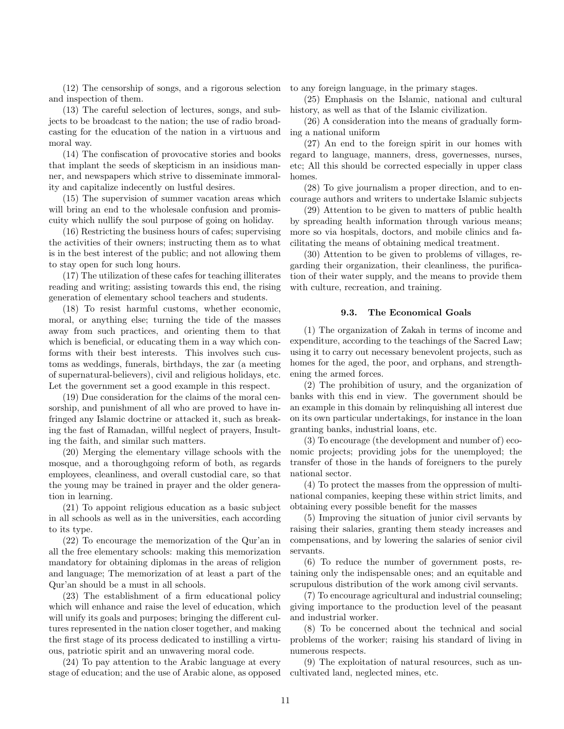(12) The censorship of songs, and a rigorous selection and inspection of them.

(13) The careful selection of lectures, songs, and subjects to be broadcast to the nation; the use of radio broadcasting for the education of the nation in a virtuous and moral way.

(14) The confiscation of provocative stories and books that implant the seeds of skepticism in an insidious manner, and newspapers which strive to disseminate immorality and capitalize indecently on lustful desires.

(15) The supervision of summer vacation areas which will bring an end to the wholesale confusion and promiscuity which nullify the soul purpose of going on holiday.

(16) Restricting the business hours of cafes; supervising the activities of their owners; instructing them as to what is in the best interest of the public; and not allowing them to stay open for such long hours.

(17) The utilization of these cafes for teaching illiterates reading and writing; assisting towards this end, the rising generation of elementary school teachers and students.

(18) To resist harmful customs, whether economic, moral, or anything else; turning the tide of the masses away from such practices, and orienting them to that which is beneficial, or educating them in a way which conforms with their best interests. This involves such customs as weddings, funerals, birthdays, the zar (a meeting of supernatural-believers), civil and religious holidays, etc. Let the government set a good example in this respect.

(19) Due consideration for the claims of the moral censorship, and punishment of all who are proved to have infringed any Islamic doctrine or attacked it, such as breaking the fast of Ramadan, willful neglect of prayers, Insulting the faith, and similar such matters.

(20) Merging the elementary village schools with the mosque, and a thoroughgoing reform of both, as regards employees, cleanliness, and overall custodial care, so that the young may be trained in prayer and the older generation in learning.

(21) To appoint religious education as a basic subject in all schools as well as in the universities, each according to its type.

(22) To encourage the memorization of the Qur'an in all the free elementary schools: making this memorization mandatory for obtaining diplomas in the areas of religion and language; The memorization of at least a part of the Qur'an should be a must in all schools.

(23) The establishment of a firm educational policy which will enhance and raise the level of education, which will unify its goals and purposes; bringing the different cultures represented in the nation closer together, and making the first stage of its process dedicated to instilling a virtuous, patriotic spirit and an unwavering moral code.

(24) To pay attention to the Arabic language at every stage of education; and the use of Arabic alone, as opposed to any foreign language, in the primary stages.

(25) Emphasis on the Islamic, national and cultural history, as well as that of the Islamic civilization.

(26) A consideration into the means of gradually forming a national uniform

(27) An end to the foreign spirit in our homes with regard to language, manners, dress, governesses, nurses, etc; All this should be corrected especially in upper class homes.

(28) To give journalism a proper direction, and to encourage authors and writers to undertake Islamic subjects

(29) Attention to be given to matters of public health by spreading health information through various means; more so via hospitals, doctors, and mobile clinics and facilitating the means of obtaining medical treatment.

(30) Attention to be given to problems of villages, regarding their organization, their cleanliness, the purification of their water supply, and the means to provide them with culture, recreation, and training.

## 9.3. The Economical Goals

(1) The organization of Zakah in terms of income and expenditure, according to the teachings of the Sacred Law; using it to carry out necessary benevolent projects, such as homes for the aged, the poor, and orphans, and strengthening the armed forces.

(2) The prohibition of usury, and the organization of banks with this end in view. The government should be an example in this domain by relinquishing all interest due on its own particular undertakings, for instance in the loan granting banks, industrial loans, etc.

(3) To encourage (the development and number of) economic projects; providing jobs for the unemployed; the transfer of those in the hands of foreigners to the purely national sector.

(4) To protect the masses from the oppression of multinational companies, keeping these within strict limits, and obtaining every possible benefit for the masses

(5) Improving the situation of junior civil servants by raising their salaries, granting them steady increases and compensations, and by lowering the salaries of senior civil servants.

(6) To reduce the number of government posts, retaining only the indispensable ones; and an equitable and scrupulous distribution of the work among civil servants.

(7) To encourage agricultural and industrial counseling; giving importance to the production level of the peasant and industrial worker.

(8) To be concerned about the technical and social problems of the worker; raising his standard of living in numerous respects.

(9) The exploitation of natural resources, such as uncultivated land, neglected mines, etc.